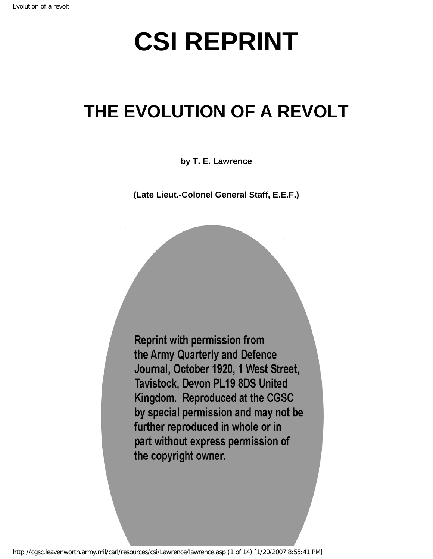## **CSI REPRINT**

## **THE EVOLUTION OF A REVOLT**

**by T. E. Lawrence**

**(Late Lieut.-Colonel General Staff, E.E.F.)**

**Reprint with permission from** the Army Quarterly and Defence Journal, October 1920, 1 West Street, Tavistock, Devon PL19 8DS United Kingdom. Reproduced at the CGSC by special permission and may not be further reproduced in whole or in part without express permission of the copyright owner.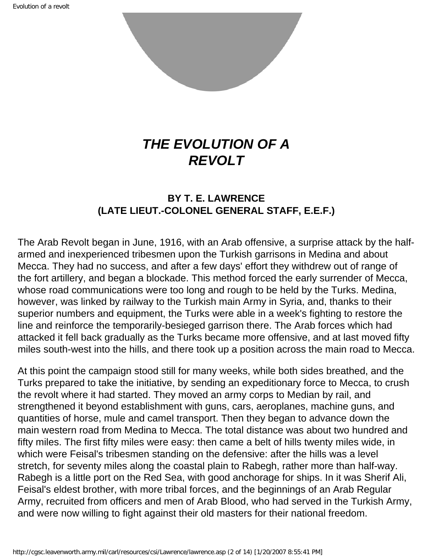## *THE EVOLUTION OF A REVOLT*

## **BY T. E. LAWRENCE (LATE LIEUT.-COLONEL GENERAL STAFF, E.E.F.)**

The Arab Revolt began in June, 1916, with an Arab offensive, a surprise attack by the halfarmed and inexperienced tribesmen upon the Turkish garrisons in Medina and about Mecca. They had no success, and after a few days' effort they withdrew out of range of the fort artillery, and began a blockade. This method forced the early surrender of Mecca, whose road communications were too long and rough to be held by the Turks. Medina, however, was linked by railway to the Turkish main Army in Syria, and, thanks to their superior numbers and equipment, the Turks were able in a week's fighting to restore the line and reinforce the temporarily-besieged garrison there. The Arab forces which had attacked it fell back gradually as the Turks became more offensive, and at last moved fifty miles south-west into the hills, and there took up a position across the main road to Mecca.

At this point the campaign stood still for many weeks, while both sides breathed, and the Turks prepared to take the initiative, by sending an expeditionary force to Mecca, to crush the revolt where it had started. They moved an army corps to Median by rail, and strengthened it beyond establishment with guns, cars, aeroplanes, machine guns, and quantities of horse, mule and camel transport. Then they began to advance down the main western road from Medina to Mecca. The total distance was about two hundred and fifty miles. The first fifty miles were easy: then came a belt of hills twenty miles wide, in which were Feisal's tribesmen standing on the defensive: after the hills was a level stretch, for seventy miles along the coastal plain to Rabegh, rather more than half-way. Rabegh is a little port on the Red Sea, with good anchorage for ships. In it was Sherif Ali, Feisal's eldest brother, with more tribal forces, and the beginnings of an Arab Regular Army, recruited from officers and men of Arab Blood, who had served in the Turkish Army, and were now willing to fight against their old masters for their national freedom.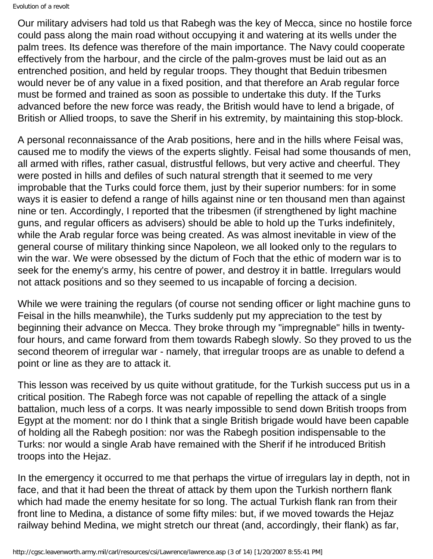Our military advisers had told us that Rabegh was the key of Mecca, since no hostile force could pass along the main road without occupying it and watering at its wells under the palm trees. Its defence was therefore of the main importance. The Navy could cooperate effectively from the harbour, and the circle of the palm-groves must be laid out as an entrenched position, and held by regular troops. They thought that Beduin tribesmen would never be of any value in a fixed position, and that therefore an Arab regular force must be formed and trained as soon as possible to undertake this duty. If the Turks advanced before the new force was ready, the British would have to lend a brigade, of British or Allied troops, to save the Sherif in his extremity, by maintaining this stop-block.

A personal reconnaissance of the Arab positions, here and in the hills where Feisal was, caused me to modify the views of the experts slightly. Feisal had some thousands of men, all armed with rifles, rather casual, distrustful fellows, but very active and cheerful. They were posted in hills and defiles of such natural strength that it seemed to me very improbable that the Turks could force them, just by their superior numbers: for in some ways it is easier to defend a range of hills against nine or ten thousand men than against nine or ten. Accordingly, I reported that the tribesmen (if strengthened by light machine guns, and regular officers as advisers) should be able to hold up the Turks indefinitely, while the Arab regular force was being created. As was almost inevitable in view of the general course of military thinking since Napoleon, we all looked only to the regulars to win the war. We were obsessed by the dictum of Foch that the ethic of modern war is to seek for the enemy's army, his centre of power, and destroy it in battle. Irregulars would not attack positions and so they seemed to us incapable of forcing a decision.

While we were training the regulars (of course not sending officer or light machine guns to Feisal in the hills meanwhile), the Turks suddenly put my appreciation to the test by beginning their advance on Mecca. They broke through my "impregnable" hills in twentyfour hours, and came forward from them towards Rabegh slowly. So they proved to us the second theorem of irregular war - namely, that irregular troops are as unable to defend a point or line as they are to attack it.

This lesson was received by us quite without gratitude, for the Turkish success put us in a critical position. The Rabegh force was not capable of repelling the attack of a single battalion, much less of a corps. It was nearly impossible to send down British troops from Egypt at the moment: nor do I think that a single British brigade would have been capable of holding all the Rabegh position: nor was the Rabegh position indispensable to the Turks: nor would a single Arab have remained with the Sherif if he introduced British troops into the Hejaz.

In the emergency it occurred to me that perhaps the virtue of irregulars lay in depth, not in face, and that it had been the threat of attack by them upon the Turkish northern flank which had made the enemy hesitate for so long. The actual Turkish flank ran from their front line to Medina, a distance of some fifty miles: but, if we moved towards the Hejaz railway behind Medina, we might stretch our threat (and, accordingly, their flank) as far,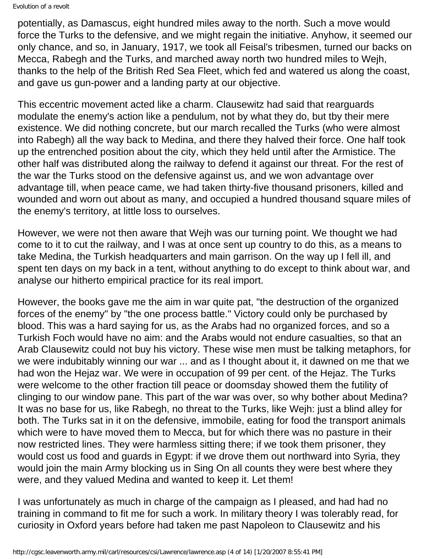potentially, as Damascus, eight hundred miles away to the north. Such a move would force the Turks to the defensive, and we might regain the initiative. Anyhow, it seemed our only chance, and so, in January, 1917, we took all Feisal's tribesmen, turned our backs on Mecca, Rabegh and the Turks, and marched away north two hundred miles to Wejh, thanks to the help of the British Red Sea Fleet, which fed and watered us along the coast, and gave us gun-power and a landing party at our objective.

This eccentric movement acted like a charm. Clausewitz had said that rearguards modulate the enemy's action like a pendulum, not by what they do, but tby their mere existence. We did nothing concrete, but our march recalled the Turks (who were almost into Rabegh) all the way back to Medina, and there they halved their force. One half took up the entrenched position about the city, which they held until after the Armistice. The other half was distributed along the railway to defend it against our threat. For the rest of the war the Turks stood on the defensive against us, and we won advantage over advantage till, when peace came, we had taken thirty-five thousand prisoners, killed and wounded and worn out about as many, and occupied a hundred thousand square miles of the enemy's territory, at little loss to ourselves.

However, we were not then aware that Wejh was our turning point. We thought we had come to it to cut the railway, and I was at once sent up country to do this, as a means to take Medina, the Turkish headquarters and main garrison. On the way up I fell ill, and spent ten days on my back in a tent, without anything to do except to think about war, and analyse our hitherto empirical practice for its real import.

However, the books gave me the aim in war quite pat, "the destruction of the organized forces of the enemy" by "the one process battle." Victory could only be purchased by blood. This was a hard saying for us, as the Arabs had no organized forces, and so a Turkish Foch would have no aim: and the Arabs would not endure casualties, so that an Arab Clausewitz could not buy his victory. These wise men must be talking metaphors, for we were indubitably winning our war ... and as I thought about it, it dawned on me that we had won the Hejaz war. We were in occupation of 99 per cent. of the Hejaz. The Turks were welcome to the other fraction till peace or doomsday showed them the futility of clinging to our window pane. This part of the war was over, so why bother about Medina? It was no base for us, like Rabegh, no threat to the Turks, like Wejh: just a blind alley for both. The Turks sat in it on the defensive, immobile, eating for food the transport animals which were to have moved them to Mecca, but for which there was no pasture in their now restricted lines. They were harmless sitting there; if we took them prisoner, they would cost us food and guards in Egypt: if we drove them out northward into Syria, they would join the main Army blocking us in Sing On all counts they were best where they were, and they valued Medina and wanted to keep it. Let them!

I was unfortunately as much in charge of the campaign as I pleased, and had had no training in command to fit me for such a work. In military theory I was tolerably read, for curiosity in Oxford years before had taken me past Napoleon to Clausewitz and his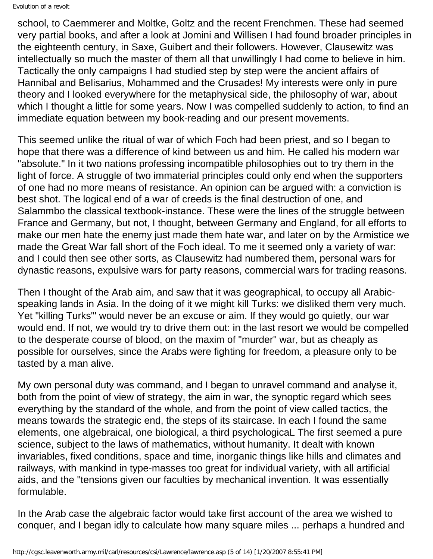Evolution of a revolt

school, to Caemmerer and Moltke, Goltz and the recent Frenchmen. These had seemed very partial books, and after a look at Jomini and Willisen I had found broader principles in the eighteenth century, in Saxe, Guibert and their followers. However, Clausewitz was intellectually so much the master of them all that unwillingly I had come to believe in him. Tactically the only campaigns I had studied step by step were the ancient affairs of Hannibal and Belisarius, Mohammed and the Crusades! My interests were only in pure theory and I looked everywhere for the metaphysical side, the philosophy of war, about which I thought a little for some years. Now I was compelled suddenly to action, to find an immediate equation between my book-reading and our present movements.

This seemed unlike the ritual of war of which Foch had been priest, and so I began to hope that there was a difference of kind between us and him. He called his modern war "absolute." In it two nations professing incompatible philosophies out to try them in the light of force. A struggle of two immaterial principles could only end when the supporters of one had no more means of resistance. An opinion can be argued with: a conviction is best shot. The logical end of a war of creeds is the final destruction of one, and Salammbo the classical textbook-instance. These were the lines of the struggle between France and Germany, but not, I thought, between Germany and England, for all efforts to make our men hate the enemy just made them hate war, and later on by the Armistice we made the Great War fall short of the Foch ideal. To me it seemed only a variety of war: and I could then see other sorts, as Clausewitz had numbered them, personal wars for dynastic reasons, expulsive wars for party reasons, commercial wars for trading reasons.

Then I thought of the Arab aim, and saw that it was geographical, to occupy all Arabicspeaking lands in Asia. In the doing of it we might kill Turks: we disliked them very much. Yet "killing Turks"' would never be an excuse or aim. If they would go quietly, our war would end. If not, we would try to drive them out: in the last resort we would be compelled to the desperate course of blood, on the maxim of "murder" war, but as cheaply as possible for ourselves, since the Arabs were fighting for freedom, a pleasure only to be tasted by a man alive.

My own personal duty was command, and I began to unravel command and analyse it, both from the point of view of strategy, the aim in war, the synoptic regard which sees everything by the standard of the whole, and from the point of view called tactics, the means towards the strategic end, the steps of its staircase. In each I found the same elements, one algebraical, one biological, a third psychologicaL The first seemed a pure science, subject to the laws of mathematics, without humanity. It dealt with known invariables, fixed conditions, space and time, inorganic things like hills and climates and railways, with mankind in type-masses too great for individual variety, with all artificial aids, and the "tensions given our faculties by mechanical invention. It was essentially formulable.

In the Arab case the algebraic factor would take first account of the area we wished to conquer, and I began idly to calculate how many square miles ... perhaps a hundred and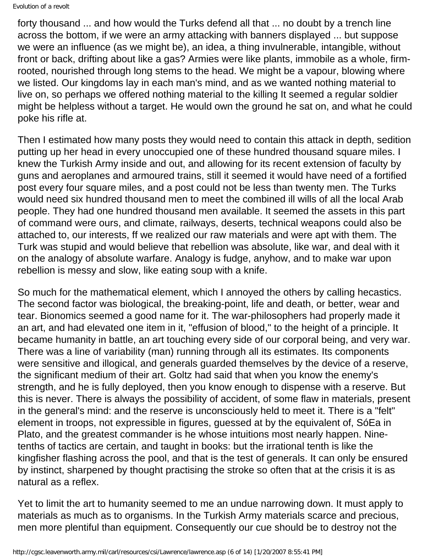Evolution of a revolt

forty thousand ... and how would the Turks defend all that ... no doubt by a trench line across the bottom, if we were an army attacking with banners displayed ... but suppose we were an influence (as we might be), an idea, a thing invulnerable, intangible, without front or back, drifting about like a gas? Armies were like plants, immobile as a whole, firmrooted, nourished through long stems to the head. We might be a vapour, blowing where we listed. Our kingdoms lay in each man's mind, and as we wanted nothing material to live on, so perhaps we offered nothing material to the killing It seemed a regular soldier might be helpless without a target. He would own the ground he sat on, and what he could poke his rifle at.

Then I estimated how many posts they would need to contain this attack in depth, sedition putting up her head in every unoccupied one of these hundred thousand square miles. I knew the Turkish Army inside and out, and allowing for its recent extension of faculty by guns and aeroplanes and armoured trains, still it seemed it would have need of a fortified post every four square miles, and a post could not be less than twenty men. The Turks would need six hundred thousand men to meet the combined ill wills of all the local Arab people. They had one hundred thousand men available. It seemed the assets in this part of command were ours, and climate, railways, deserts, technical weapons could also be attached to, our interests, ff we realized our raw materials and were apt with them. The Turk was stupid and would believe that rebellion was absolute, like war, and deal with it on the analogy of absolute warfare. Analogy is fudge, anyhow, and to make war upon rebellion is messy and slow, like eating soup with a knife.

So much for the mathematical element, which I annoyed the others by calling hecastics. The second factor was biological, the breaking-point, life and death, or better, wear and tear. Bionomics seemed a good name for it. The war-philosophers had properly made it an art, and had elevated one item in it, "effusion of blood," to the height of a principle. It became humanity in battle, an art touching every side of our corporal being, and very war. There was a line of variability (man) running through all its estimates. Its components were sensitive and illogical, and generals guarded themselves by the device of a reserve, the significant medium of their art. Goltz had said that when you know the enemy's strength, and he is fully deployed, then you know enough to dispense with a reserve. But this is never. There is always the possibility of accident, of some flaw in materials, present in the general's mind: and the reserve is unconsciously held to meet it. There is a "felt" element in troops, not expressible in figures, guessed at by the equivalent of, SóEa in Plato, and the greatest commander is he whose intuitions most nearly happen. Ninetenths of tactics are certain, and taught in books: but the irrational tenth is like the kingfisher flashing across the pool, and that is the test of generals. It can only be ensured by instinct, sharpened by thought practising the stroke so often that at the crisis it is as natural as a reflex.

Yet to limit the art to humanity seemed to me an undue narrowing down. It must apply to materials as much as to organisms. In the Turkish Army materials scarce and precious, men more plentiful than equipment. Consequently our cue should be to destroy not the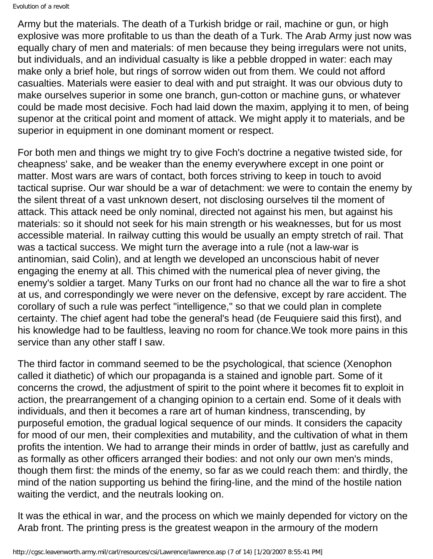Army but the materials. The death of a Turkish bridge or rail, machine or gun, or high explosive was more profitable to us than the death of a Turk. The Arab Army just now was equally chary of men and materials: of men because they being irregulars were not units, but individuals, and an individual casualty is like a pebble dropped in water: each may make only a brief hole, but rings of sorrow widen out from them. We could not afford casualties. Materials were easier to deal with and put straight. It was our obvious duty to make ourselves superior in some one branch, gun-cotton or machine guns, or whatever could be made most decisive. Foch had laid down the maxim, applying it to men, of being supenor at the critical point and moment of attack. We might apply it to materials, and be superior in equipment in one dominant moment or respect.

For both men and things we might try to give Foch's doctrine a negative twisted side, for cheapness' sake, and be weaker than the enemy everywhere except in one point or matter. Most wars are wars of contact, both forces striving to keep in touch to avoid tactical suprise. Our war should be a war of detachment: we were to contain the enemy by the silent threat of a vast unknown desert, not disclosing ourselves til the moment of attack. This attack need be only nominal, directed not against his men, but against his materials: so it should not seek for his main strength or his weaknesses, but for us most accessible material. In railway cutting this would be usually an empty stretch of rail. That was a tactical success. We might turn the average into a rule (not a law-war is antinomian, said Colin), and at length we developed an unconscious habit of never engaging the enemy at all. This chimed with the numerical plea of never giving, the enemy's soldier a target. Many Turks on our front had no chance all the war to fire a shot at us, and correspondingly we were never on the defensive, except by rare accident. The corollary of such a rule was perfect "intelligence," so that we could plan in complete certainty. The chief agent had tobe the general's head (de Feuquiere said this first), and his knowledge had to be faultless, leaving no room for chance.We took more pains in this service than any other staff I saw.

The third factor in command seemed to be the psychological, that science (Xenophon called it diathetic) of which our propaganda is a stained and ignoble part. Some of it concerns the crowd, the adjustment of spirit to the point where it becomes fit to exploit in action, the prearrangement of a changing opinion to a certain end. Some of it deals with individuals, and then it becomes a rare art of human kindness, transcending, by purposeful emotion, the gradual logical sequence of our minds. It considers the capacity for mood of our men, their complexities and mutability, and the cultivation of what in them profits the intention. We had to arrange their minds in order of battlw, just as carefully and as formally as other officers arranged their bodies: and not only our own men's minds, though them first: the minds of the enemy, so far as we could reach them: and thirdly, the mind of the nation supporting us behind the firing-line, and the mind of the hostile nation waiting the verdict, and the neutrals looking on.

It was the ethical in war, and the process on which we mainly depended for victory on the Arab front. The printing press is the greatest weapon in the armoury of the modern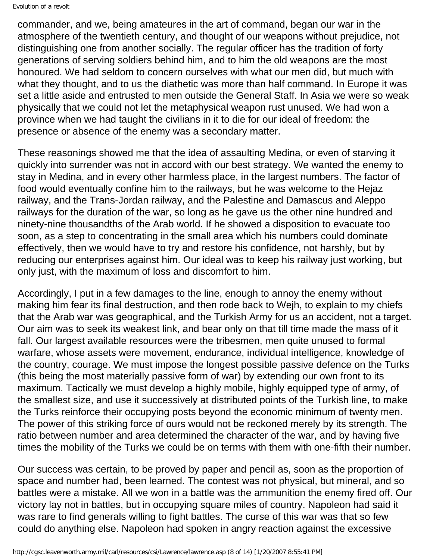commander, and we, being amateures in the art of command, began our war in the atmosphere of the twentieth century, and thought of our weapons without prejudice, not distinguishing one from another socially. The regular officer has the tradition of forty generations of serving soldiers behind him, and to him the old weapons are the most honoured. We had seldom to concern ourselves with what our men did, but much with what they thought, and to us the diathetic was more than half command. In Europe it was set a little aside and entrusted to men outside the General Staff. In Asia we were so weak physically that we could not let the metaphysical weapon rust unused. We had won a province when we had taught the civilians in it to die for our ideal of freedom: the presence or absence of the enemy was a secondary matter.

These reasonings showed me that the idea of assaulting Medina, or even of starving it quickly into surrender was not in accord with our best strategy. We wanted the enemy to stay in Medina, and in every other harmless place, in the largest numbers. The factor of food would eventually confine him to the railways, but he was welcome to the Hejaz railway, and the Trans-Jordan railway, and the Palestine and Damascus and Aleppo railways for the duration of the war, so long as he gave us the other nine hundred and ninety-nine thousandths of the Arab world. If he showed a disposition to evacuate too soon, as a step to concentrating in the small area which his numbers could dominate effectively, then we would have to try and restore his confidence, not harshly, but by reducing our enterprises against him. Our ideal was to keep his railway just working, but only just, with the maximum of loss and discomfort to him.

Accordingly, I put in a few damages to the line, enough to annoy the enemy without making him fear its final destruction, and then rode back to Wejh, to explain to my chiefs that the Arab war was geographical, and the Turkish Army for us an accident, not a target. Our aim was to seek its weakest link, and bear only on that till time made the mass of it fall. Our largest available resources were the tribesmen, men quite unused to formal warfare, whose assets were movement, endurance, individual intelligence, knowledge of the country, courage. We must impose the longest possible passive defence on the Turks (this being the most materially passive form of war) by extending our own front to its maximum. Tactically we must develop a highly mobile, highly equipped type of army, of the smallest size, and use it successively at distributed points of the Turkish line, to make the Turks reinforce their occupying posts beyond the economic minimum of twenty men. The power of this striking force of ours would not be reckoned merely by its strength. The ratio between number and area determined the character of the war, and by having five times the mobility of the Turks we could be on terms with them with one-fifth their number.

Our success was certain, to be proved by paper and pencil as, soon as the proportion of space and number had, been learned. The contest was not physical, but mineral, and so battles were a mistake. All we won in a battle was the ammunition the enemy fired off. Our victory lay not in battles, but in occupying square miles of country. Napoleon had said it was rare to find generals willing to fight battles. The curse of this war was that so few could do anything else. Napoleon had spoken in angry reaction against the excessive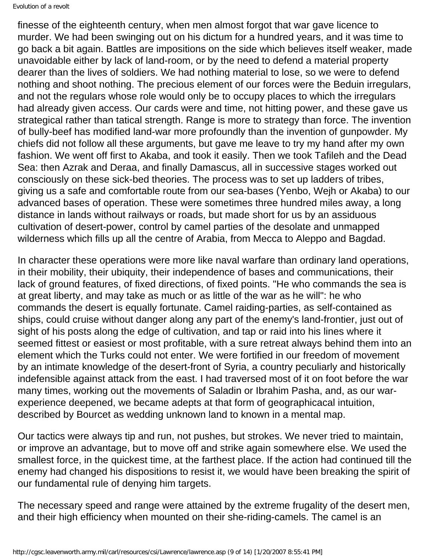finesse of the eighteenth century, when men almost forgot that war gave licence to murder. We had been swinging out on his dictum for a hundred years, and it was time to go back a bit again. Battles are impositions on the side which believes itself weaker, made unavoidable either by lack of land-room, or by the need to defend a material property dearer than the lives of soldiers. We had nothing material to lose, so we were to defend nothing and shoot nothing. The precious element of our forces were the Beduin irregulars, and not the regulars whose role would only be to occupy places to which the irregulars had already given access. Our cards were and time, not hitting power, and these gave us strategical rather than tatical strength. Range is more to strategy than force. The invention of bully-beef has modified land-war more profoundly than the invention of gunpowder. My chiefs did not follow all these arguments, but gave me leave to try my hand after my own fashion. We went off first to Akaba, and took it easily. Then we took Tafileh and the Dead Sea: then Azrak and Deraa, and finally Damascus, all in successive stages worked out consciously on these sick-bed theories. The process was to set up ladders of tribes, giving us a safe and comfortable route from our sea-bases (Yenbo, Wejh or Akaba) to our advanced bases of operation. These were sometimes three hundred miles away, a long distance in lands without railways or roads, but made short for us by an assiduous cultivation of desert-power, control by camel parties of the desolate and unmapped wilderness which fills up all the centre of Arabia, from Mecca to Aleppo and Bagdad.

In character these operations were more like naval warfare than ordinary land operations, in their mobility, their ubiquity, their independence of bases and communications, their lack of ground features, of fixed directions, of fixed points. "He who commands the sea is at great liberty, and may take as much or as little of the war as he will": he who commands the desert is equally fortunate. Camel raiding-parties, as self-contained as ships, could cruise without danger along any part of the enemy's land-frontier, just out of sight of his posts along the edge of cultivation, and tap or raid into his lines where it seemed fittest or easiest or most profitable, with a sure retreat always behind them into an element which the Turks could not enter. We were fortified in our freedom of movement by an intimate knowledge of the desert-front of Syria, a country peculiarly and historically indefensible against attack from the east. I had traversed most of it on foot before the war many times, working out the movements of Saladin or Ibrahim Pasha, and, as our warexperience deepened, we became adepts at that form of geographicacal intuition, described by Bourcet as wedding unknown land to known in a mental map.

Our tactics were always tip and run, not pushes, but strokes. We never tried to maintain, or improve an advantage, but to move off and strike again somewhere else. We used the smallest force, in the quickest time, at the farthest place. If the action had continued till the enemy had changed his dispositions to resist it, we would have been breaking the spirit of our fundamental rule of denying him targets.

The necessary speed and range were attained by the extreme frugality of the desert men, and their high efficiency when mounted on their she-riding-camels. The camel is an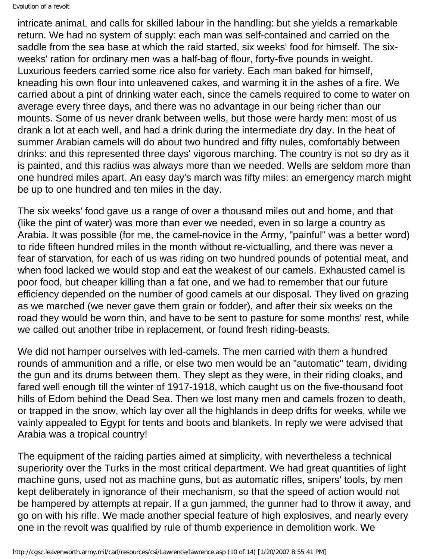```
Evolution of a revolt
```
intricate animaL and calls for skilled labour in the handling: but she yields a remarkable return. We had no system of supply: each man was self-contained and carried on the saddle from the sea base at which the raid started, six weeks' food for himself. The sixweeks' ration for ordinary men was a half-bag of flour, forty-five pounds in weight. Luxurious feeders carried some rice also for variety. Each man baked for himself, kneading his own flour into unleavened cakes, and warming it in the ashes of a fire. We carried about a pint of drinking water each, since the camels required to come to water on average every three days, and there was no advantage in our being richer than our mounts. Some of us never drank between wells, but those were hardy men: most of us drank a lot at each well, and had a drink during the intermediate dry day. In the heat of summer Arabian camels will do about two hundred and fifty nules, comfortably between drinks: and this represented three days' vigorous marching. The country is not so dry as it is painted, and this radius was always more than we needed. Wells are seldom more than one hundred miles apart. An easy day's march was fifty miles: an emergency march might be up to one hundred and ten miles in the day.

The six weeks' food gave us a range of over a thousand miles out and home, and that (like the pint of water) was more than ever we needed, even in so large a country as Arabia. It was possible (for me, the camel-novice in the Army, "painful" was a better word) to ride fifteen hundred miles in the month without re-victualling, and there was never a fear of starvation, for each of us was riding on two hundred pounds of potential meat, and when food lacked we would stop and eat the weakest of our camels. Exhausted camel is poor food, but cheaper killing than a fat one, and we had to remember that our future efficiency depended on the number of good camels at our disposal. They lived on grazing as we marched (we never gave them grain or fodder), and after their six weeks on the road they would be worn thin, and have to be sent to pasture for some months' rest, while we called out another tribe in replacement, or found fresh riding-beasts.

We did not hamper ourselves with led-camels. The men carried with them a hundred rounds of ammunition and a rifle, or else two men would be an "automatic" team, dividing the gun and its drums between them. They slept as they were, in their riding cloaks, and fared well enough till the winter of 1917-1918, which caught us on the five-thousand foot hills of Edom behind the Dead Sea. Then we lost many men and camels frozen to death, or trapped in the snow, which lay over all the highlands in deep drifts for weeks, while we vainly appealed to Egypt for tents and boots and blankets. In reply we were advised that Arabia was a tropical country!

The equipment of the raiding parties aimed at simplicity, with nevertheless a technical superiority over the Turks in the most critical department. We had great quantities of light machine guns, used not as machine guns, but as automatic rifles, snipers' tools, by men kept deliberately in ignorance of their mechanism, so that the speed of action would not be hampered by attempts at repair. If a gun jammed, the gunner had to throw it away, and go on with his rifle. We made another special feature of high explosives, and nearly every one in the revolt was qualified by rule of thumb experience in demolition work. We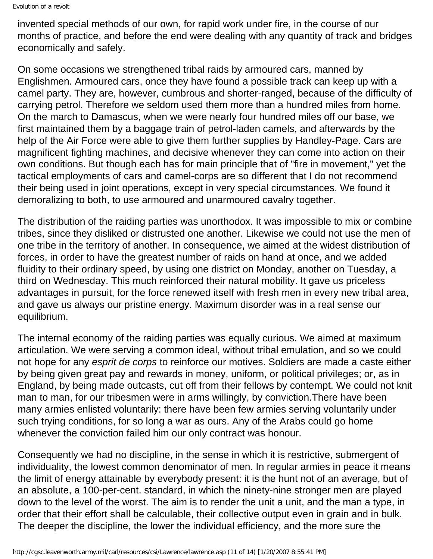invented special methods of our own, for rapid work under fire, in the course of our months of practice, and before the end were dealing with any quantity of track and bridges economically and safely.

On some occasions we strengthened tribal raids by armoured cars, manned by Englishmen. Armoured cars, once they have found a possible track can keep up with a camel party. They are, however, cumbrous and shorter-ranged, because of the difficulty of carrying petrol. Therefore we seldom used them more than a hundred miles from home. On the march to Damascus, when we were nearly four hundred miles off our base, we first maintained them by a baggage train of petrol-laden camels, and afterwards by the help of the Air Force were able to give them further supplies by Handley-Page. Cars are magnificent fighting machines, and decisive whenever they can come into action on their own conditions. But though each has for main principle that of "fire in movement," yet the tactical employments of cars and camel-corps are so different that I do not recommend their being used in joint operations, except in very special circumstances. We found it demoralizing to both, to use armoured and unarmoured cavalry together.

The distribution of the raiding parties was unorthodox. It was impossible to mix or combine tribes, since they disliked or distrusted one another. Likewise we could not use the men of one tribe in the territory of another. In consequence, we aimed at the widest distribution of forces, in order to have the greatest number of raids on hand at once, and we added fluidity to their ordinary speed, by using one district on Monday, another on Tuesday, a third on Wednesday. This much reinforced their natural mobility. It gave us priceless advantages in pursuit, for the force renewed itself with fresh men in every new tribal area, and gave us always our pristine energy. Maximum disorder was in a real sense our equilibrium.

The internal economy of the raiding parties was equally curious. We aimed at maximum articulation. We were serving a common ideal, without tribal emulation, and so we could not hope for any *esprit de corps* to reinforce our motives. Soldiers are made a caste either by being given great pay and rewards in money, uniform, or political privileges; or, as in England, by being made outcasts, cut off from their fellows by contempt. We could not knit man to man, for our tribesmen were in arms willingly, by conviction.There have been many armies enlisted voluntarily: there have been few armies serving voluntarily under such trying conditions, for so long a war as ours. Any of the Arabs could go home whenever the conviction failed him our only contract was honour.

Consequently we had no discipline, in the sense in which it is restrictive, submergent of individuality, the lowest common denominator of men. In regular armies in peace it means the limit of energy attainable by everybody present: it is the hunt not of an average, but of an absolute, a 100-per-cent. standard, in which the ninety-nine stronger men are played down to the level of the worst. The aim is to render the unit a unit, and the man a type, in order that their effort shall be calculable, their collective output even in grain and in bulk. The deeper the discipline, the lower the individual efficiency, and the more sure the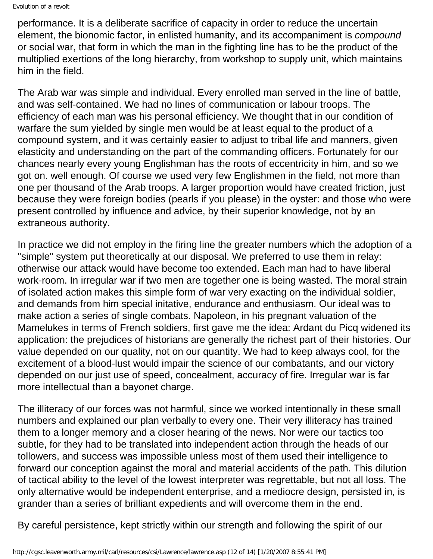performance. It is a deliberate sacrifice of capacity in order to reduce the uncertain element, the bionomic factor, in enlisted humanity, and its accompaniment is *compound*  or social war, that form in which the man in the fighting line has to be the product of the multiplied exertions of the long hierarchy, from workshop to supply unit, which maintains him in the field.

The Arab war was simple and individual. Every enrolled man served in the line of battle, and was self-contained. We had no lines of communication or labour troops. The efficiency of each man was his personal efficiency. We thought that in our condition of warfare the sum yielded by single men would be at least equal to the product of a compound system, and it was certainly easier to adjust to tribal life and manners, given elasticity and understanding on the part of the commanding officers. Fortunately for our chances nearly every young Englishman has the roots of eccentricity in him, and so we got on. well enough. Of course we used very few Englishmen in the field, not more than one per thousand of the Arab troops. A larger proportion would have created friction, just because they were foreign bodies (pearls if you please) in the oyster: and those who were present controlled by influence and advice, by their superior knowledge, not by an extraneous authority.

In practice we did not employ in the firing line the greater numbers which the adoption of a "simple" system put theoretically at our disposal. We preferred to use them in relay: otherwise our attack would have become too extended. Each man had to have liberal work-room. In irregular war if two men are together one is being wasted. The moral strain of isolated action makes this simple form of war very exacting on the individual soldier, and demands from him special initative, endurance and enthusiasm. Our ideal was to make action a series of single combats. Napoleon, in his pregnant valuation of the Mamelukes in terms of French soldiers, first gave me the idea: Ardant du Picq widened its application: the prejudices of historians are generally the richest part of their histories. Our value depended on our quality, not on our quantity. We had to keep always cool, for the excitement of a blood-lust would impair the science of our combatants, and our victory depended on our just use of speed, concealment, accuracy of fire. Irregular war is far more intellectual than a bayonet charge.

The illiteracy of our forces was not harmful, since we worked intentionally in these small numbers and explained our plan verbally to every one. Their very illiteracy has trained them to a longer memory and a closer hearing of the news. Nor were our tactics too subtle, for they had to be translated into independent action through the heads of our tollowers, and success was impossible unless most of them used their intelligence to forward our conception against the moral and material accidents of the path. This dilution of tactical ability to the level of the lowest interpreter was regrettable, but not all loss. The only alternative would be independent enterprise, and a mediocre design, persisted in, is grander than a series of brilliant expedients and will overcome them in the end.

By careful persistence, kept strictly within our strength and following the spirit of our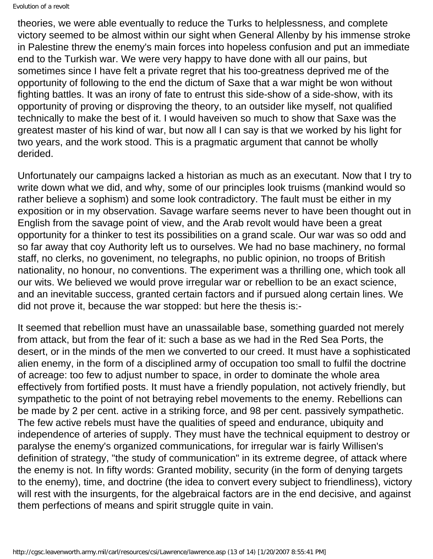Evolution of a revolt

theories, we were able eventually to reduce the Turks to helplessness, and complete victory seemed to be almost within our sight when General Allenby by his immense stroke in Palestine threw the enemy's main forces into hopeless confusion and put an immediate end to the Turkish war. We were very happy to have done with all our pains, but sometimes since I have felt a private regret that his too-greatness deprived me of the opportunity of following to the end the dictum of Saxe that a war might be won without fighting battles. It was an irony of fate to entrust this side-show of a side-show, with its opportunity of proving or disproving the theory, to an outsider like myself, not qualified technically to make the best of it. I would haveiven so much to show that Saxe was the greatest master of his kind of war, but now all I can say is that we worked by his light for two years, and the work stood. This is a pragmatic argument that cannot be wholly derided.

Unfortunately our campaigns lacked a historian as much as an executant. Now that I try to write down what we did, and why, some of our principles look truisms (mankind would so rather believe a sophism) and some look contradictory. The fault must be either in my exposition or in my observation. Savage warfare seems never to have been thought out in English from the savage point of view, and the Arab revolt would have been a great opportunity for a thinker to test its possibilities on a grand scale. Our war was so odd and so far away that coy Authority left us to ourselves. We had no base machinery, no formal staff, no clerks, no goveniment, no telegraphs, no public opinion, no troops of British nationality, no honour, no conventions. The experiment was a thrilling one, which took all our wits. We believed we would prove irregular war or rebellion to be an exact science, and an inevitable success, granted certain factors and if pursued along certain lines. We did not prove it, because the war stopped: but here the thesis is:-

It seemed that rebellion must have an unassailable base, something guarded not merely from attack, but from the fear of it: such a base as we had in the Red Sea Ports, the desert, or in the minds of the men we converted to our creed. It must have a sophisticated alien enemy, in the form of a disciplined army of occupation too small to fulfil the doctrine of acreage: too few to adjust number to space, in order to dominate the whole area effectively from fortified posts. It must have a friendly population, not actively friendly, but sympathetic to the point of not betraying rebel movements to the enemy. Rebellions can be made by 2 per cent. active in a striking force, and 98 per cent. passively sympathetic. The few active rebels must have the qualities of speed and endurance, ubiquity and independence of arteries of supply. They must have the technical equipment to destroy or paralyse the enemy's organized communications, for irregular war is fairly Willisen's definition of strategy, "the study of communication" in its extreme degree, of attack where the enemy is not. In fifty words: Granted mobility, security (in the form of denying targets to the enemy), time, and doctrine (the idea to convert every subject to friendliness), victory will rest with the insurgents, for the algebraical factors are in the end decisive, and against them perfections of means and spirit struggle quite in vain.